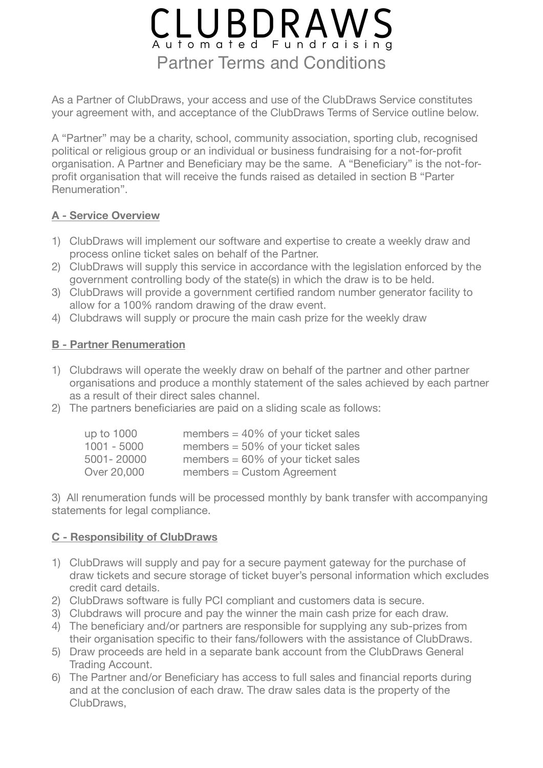# CLUBDRAWS Partner Terms and Conditions

As a Partner of ClubDraws, your access and use of the ClubDraws Service constitutes your agreement with, and acceptance of the ClubDraws Terms of Service outline below.

A "Partner" may be a charity, school, community association, sporting club, recognised political or religious group or an individual or business fundraising for a not-for-profit organisation. A Partner and Beneficiary may be the same. A "Beneficiary" is the not-forprofit organisation that will receive the funds raised as detailed in section B "Parter Renumeration".

#### **A - Service Overview**

- 1) ClubDraws will implement our software and expertise to create a weekly draw and process online ticket sales on behalf of the Partner.
- 2) ClubDraws will supply this service in accordance with the legislation enforced by the government controlling body of the state(s) in which the draw is to be held.
- 3) ClubDraws will provide a government certified random number generator facility to allow for a 100% random drawing of the draw event.
- 4) Clubdraws will supply or procure the main cash prize for the weekly draw

## **B - Partner Renumeration**

- 1) Clubdraws will operate the weekly draw on behalf of the partner and other partner organisations and produce a monthly statement of the sales achieved by each partner as a result of their direct sales channel.
- 2) The partners beneficiaries are paid on a sliding scale as follows:

| up to 1000    | members $= 40\%$ of your ticket sales |
|---------------|---------------------------------------|
| $1001 - 5000$ | members $= 50\%$ of your ticket sales |
| 5001-20000    | members $= 60\%$ of your ticket sales |
| Over 20,000   | $m$ embers = Custom Agreement         |

3) All renumeration funds will be processed monthly by bank transfer with accompanying statements for legal compliance.

#### **C - Responsibility of ClubDraws**

- 1) ClubDraws will supply and pay for a secure payment gateway for the purchase of draw tickets and secure storage of ticket buyer's personal information which excludes credit card details.
- 2) ClubDraws software is fully PCI compliant and customers data is secure.
- 3) Clubdraws will procure and pay the winner the main cash prize for each draw.
- 4) The beneficiary and/or partners are responsible for supplying any sub-prizes from their organisation specific to their fans/followers with the assistance of ClubDraws.
- 5) Draw proceeds are held in a separate bank account from the ClubDraws General Trading Account.
- 6) The Partner and/or Beneficiary has access to full sales and financial reports during and at the conclusion of each draw. The draw sales data is the property of the ClubDraws,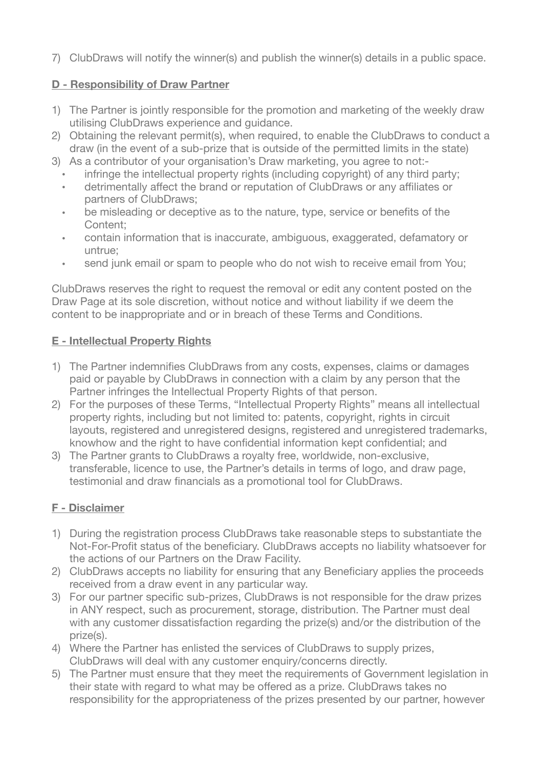7) ClubDraws will notify the winner(s) and publish the winner(s) details in a public space.

## **D - Responsibility of Draw Partner**

- 1) The Partner is jointly responsible for the promotion and marketing of the weekly draw utilising ClubDraws experience and guidance.
- 2) Obtaining the relevant permit(s), when required, to enable the ClubDraws to conduct a draw (in the event of a sub-prize that is outside of the permitted limits in the state)
- 3) As a contributor of your organisation's Draw marketing, you agree to not:
	- infringe the intellectual property rights (including copyright) of any third party;
	- detrimentally affect the brand or reputation of ClubDraws or any affiliates or partners of ClubDraws;
	- be misleading or deceptive as to the nature, type, service or benefits of the Content;
	- contain information that is inaccurate, ambiguous, exaggerated, defamatory or untrue;
	- send junk email or spam to people who do not wish to receive email from You;

ClubDraws reserves the right to request the removal or edit any content posted on the Draw Page at its sole discretion, without notice and without liability if we deem the content to be inappropriate and or in breach of these Terms and Conditions.

## **E - Intellectual Property Rights**

- 1) The Partner indemnifies ClubDraws from any costs, expenses, claims or damages paid or payable by ClubDraws in connection with a claim by any person that the Partner infringes the Intellectual Property Rights of that person.
- 2) For the purposes of these Terms, "Intellectual Property Rights" means all intellectual property rights, including but not limited to: patents, copyright, rights in circuit layouts, registered and unregistered designs, registered and unregistered trademarks, knowhow and the right to have confidential information kept confidential; and
- 3) The Partner grants to ClubDraws a royalty free, worldwide, non-exclusive, transferable, licence to use, the Partner's details in terms of logo, and draw page, testimonial and draw financials as a promotional tool for ClubDraws.

# **F - Disclaimer**

- 1) During the registration process ClubDraws take reasonable steps to substantiate the Not-For-Profit status of the beneficiary. ClubDraws accepts no liability whatsoever for the actions of our Partners on the Draw Facility.
- 2) ClubDraws accepts no liability for ensuring that any Beneficiary applies the proceeds received from a draw event in any particular way.
- 3) For our partner specific sub-prizes, ClubDraws is not responsible for the draw prizes in ANY respect, such as procurement, storage, distribution. The Partner must deal with any customer dissatisfaction regarding the prize(s) and/or the distribution of the prize(s).
- 4) Where the Partner has enlisted the services of ClubDraws to supply prizes, ClubDraws will deal with any customer enquiry/concerns directly.
- 5) The Partner must ensure that they meet the requirements of Government legislation in their state with regard to what may be offered as a prize. ClubDraws takes no responsibility for the appropriateness of the prizes presented by our partner, however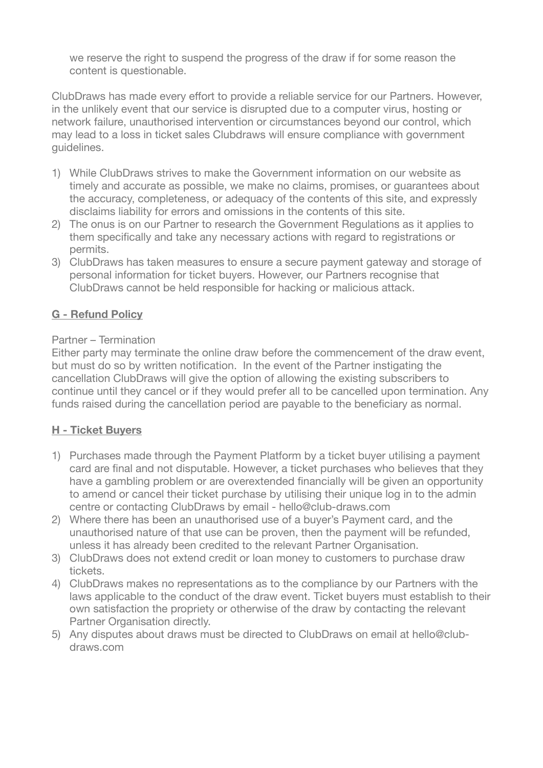we reserve the right to suspend the progress of the draw if for some reason the content is questionable.

ClubDraws has made every effort to provide a reliable service for our Partners. However, in the unlikely event that our service is disrupted due to a computer virus, hosting or network failure, unauthorised intervention or circumstances beyond our control, which may lead to a loss in ticket sales Clubdraws will ensure compliance with government guidelines.

- 1) While ClubDraws strives to make the Government information on our website as timely and accurate as possible, we make no claims, promises, or guarantees about the accuracy, completeness, or adequacy of the contents of this site, and expressly disclaims liability for errors and omissions in the contents of this site.
- 2) The onus is on our Partner to research the Government Regulations as it applies to them specifically and take any necessary actions with regard to registrations or permits.
- 3) ClubDraws has taken measures to ensure a secure payment gateway and storage of personal information for ticket buyers. However, our Partners recognise that ClubDraws cannot be held responsible for hacking or malicious attack.

# **G - Refund Policy**

#### Partner – Termination

Either party may terminate the online draw before the commencement of the draw event, but must do so by written notification. In the event of the Partner instigating the cancellation ClubDraws will give the option of allowing the existing subscribers to continue until they cancel or if they would prefer all to be cancelled upon termination. Any funds raised during the cancellation period are payable to the beneficiary as normal.

# **H - Ticket Buyers**

- 1) Purchases made through the Payment Platform by a ticket buyer utilising a payment card are final and not disputable. However, a ticket purchases who believes that they have a gambling problem or are overextended financially will be given an opportunity to amend or cancel their ticket purchase by utilising their unique log in to the admin centre or contacting ClubDraws by email - hello@club-draws.com
- 2) Where there has been an unauthorised use of a buyer's Payment card, and the unauthorised nature of that use can be proven, then the payment will be refunded, unless it has already been credited to the relevant Partner Organisation.
- 3) ClubDraws does not extend credit or loan money to customers to purchase draw tickets.
- 4) ClubDraws makes no representations as to the compliance by our Partners with the laws applicable to the conduct of the draw event. Ticket buyers must establish to their own satisfaction the propriety or otherwise of the draw by contacting the relevant Partner Organisation directly.
- 5) Any disputes about draws must be directed to ClubDraws on email at hello@clubdraws.com